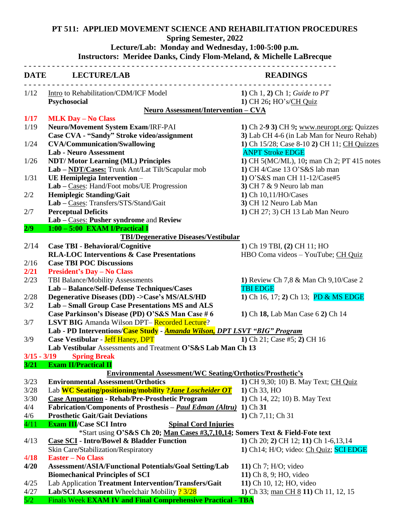## **PT 511: APPLIED MOVEMENT SCIENCE AND REHABILITATION PROCEDURES**

**Spring Semester, 2022** 

## **Lecture/Lab: Monday and Wednesday, 1:00-5:00 p.m. Instructors: Meridee Danks, Cindy Flom-Meland, & Michelle LaBrecque**

|               | _________________________________<br>DATE LECTURE/LAB                                                        | <b>READINGS</b>                                     |
|---------------|--------------------------------------------------------------------------------------------------------------|-----------------------------------------------------|
| 1/12          | Intro to Rehabilitation/CDM/ICF Model                                                                        | 1) Ch 1, 2) Ch 1; Guide to PT                       |
|               | Psychosocial                                                                                                 | 1) CH 26; HO's/CH Quiz                              |
|               | Neuro Assessment/Intervention - CVA                                                                          |                                                     |
| 1/17          | <b>MLK Day - No Class</b>                                                                                    |                                                     |
| 1/19          | Neuro/Movement System Exam/IRF-PAI                                                                           | 1) Ch 2-9 3) CH 9; www.neuropt.org; Quizzes         |
|               | Case CVA - "Sandy" Stroke video/assignment                                                                   | 3) Lab CH 4-6 (in Lab Man for Neuro Rehab)          |
| 1/24          | <b>CVA/Communication/Swallowing</b>                                                                          | 1) Ch 15/28; Case 8-10 2) CH 11; CH Quizzes         |
|               | <b>Lab - Neuro Assessment</b>                                                                                | <b>ANPT Stroke EDGE</b>                             |
| 1/26          | <b>NDT/Motor Learning (ML) Principles</b>                                                                    | 1) CH 5(MC/ML), 10; man Ch 2; PT 415 notes          |
|               | Lab - NDT/Cases: Trunk Ant/Lat Tilt/Scapular mob                                                             | 1) CH 4/Case 13 O'S&S lab man                       |
| 1/31          | UE Hemiplegia Intervention -                                                                                 | 1) O'S&S man CH 11-12/Case#5                        |
| 2/2           | Lab – Cases: Hand/Foot mobs/UE Progression<br><b>Hemiplegic Standing/Gait</b>                                | 3) CH $7 & 9$ Neuro lab man<br>1) Ch 10,11/HO/Cases |
|               | Lab - Cases: Transfers/STS/Stand/Gait                                                                        | 3) CH 12 Neuro Lab Man                              |
| 2/7           | <b>Perceptual Deficits</b>                                                                                   | 1) CH 27; 3) CH 13 Lab Man Neuro                    |
|               | Lab - Cases: Pusher syndrome and Review                                                                      |                                                     |
| 2/9           | 1:00 - 5:00 EXAM I/Practical I                                                                               |                                                     |
|               | <b>TBI/Degenerative Diseases/Vestibular</b>                                                                  |                                                     |
| 2/14          | <b>Case TBI - Behavioral/Cognitive</b>                                                                       | 1) Ch 19 TBI, (2) CH 11; HO                         |
|               | <b>RLA-LOC Interventions &amp; Case Presentations</b>                                                        | HBO Coma videos - YouTube; CH Quiz                  |
| 2/16          | <b>Case TBI POC Discussions</b>                                                                              |                                                     |
| 2/21          | <b>President's Day - No Class</b>                                                                            |                                                     |
| 2/23          | TBI Balance/Mobility Assessments                                                                             | 1) Review Ch 7,8 & Man Ch 9,10/Case 2               |
|               | Lab - Balance/Self-Defense Techniques/Cases                                                                  | <b>TBI EDGE</b>                                     |
| 2/28          | Degenerative Diseases (DD) -> Case's MS/ALS/HD                                                               | 1) Ch 16, 17; 2) Ch 13; PD & MS EDGE                |
| 3/2           | Lab - Small Group Case Presentations MS and ALS                                                              |                                                     |
|               | Case Parkinson's Disease (PD) O'S&S Man Case #6                                                              | 1) Ch 18, Lab Man Case 6 2) Ch 14                   |
| 3/7           | <b>LSVT BIG</b> Amanda Wilson DPT-Recorded Lecture?                                                          |                                                     |
|               | Lab - PD Interventions/Case Study - Amanda Wilson, DPT LSVT "BIG" Program                                    |                                                     |
| 3/9           | <b>Case Vestibular - Jeff Haney, DPT</b><br>1) Ch 21; Case #5; 2) CH 16                                      |                                                     |
|               | Lab Vestibular Assessments and Treatment O'S&S Lab Man Ch 13                                                 |                                                     |
| $3/15 - 3/19$ | <b>Spring Break</b>                                                                                          |                                                     |
| 3/21          | <b>Exam II/Practical II</b>                                                                                  |                                                     |
|               | <b>Environmental Assessment/WC Seating/Orthotics/Prosthetic's</b>                                            |                                                     |
| 3/23          | <b>Environmental Assessment/Orthotics</b>                                                                    | 1) CH 9,30; 10) B. May Text; CH Quiz                |
| 3/28          | Lab <b>WC Seating/positioning/mobility ?Jane Loscheider OT</b>                                               | 1) Ch 33, HO                                        |
| 3/30          | <b>Case Amputation - Rehab/Pre-Prosthetic Program</b>                                                        | 1) Ch 14, 22; 10) B. May Text                       |
| 4/4           | Fabrication/Components of Prosthesis - Paul Edman (Altru)                                                    | $1)$ Ch $31$                                        |
| 4/6           | <b>Prosthetic Gait/Gait Deviations</b>                                                                       | 1) Ch 7,11; Ch 31                                   |
| 4/11          | <b>Exam III/Case SCI Intro</b><br><b>Spinal Cord Injuries</b>                                                |                                                     |
|               | *Start using O'S&S Ch 20; Man Cases #3,7,10,14; Somers Text & Field-Fote text                                |                                                     |
| 4/13          | <b>Case SCI - Intro/Bowel &amp; Bladder Function</b>                                                         | 1) Ch 20; 2) CH 12; 11) Ch 1-6,13,14                |
|               | Skin Care/Stabilization/Respiratory                                                                          | 1) Ch14; H/O; video: Ch Quiz; SCI EDGE              |
| 4/18          | <b>Easter – No Class</b>                                                                                     |                                                     |
| 4/20          | Assessment/ASIA/Functional Potentials/Goal Setting/Lab                                                       | 11) Ch 7; $H/O$ ; video                             |
|               | <b>Biomechanical Principles of SCI</b>                                                                       | 11) Ch 8, 9; HO, video                              |
| 4/25          | Lab Application Treatment Intervention/Transfers/Gait                                                        | 11) Ch 10, 12; HO, video                            |
| 4/27<br>5/2   | Lab/SCI Assessment Wheelchair Mobility ? 3/28<br>Finals Week EXAM IV and Final Comprehensive Practical - TBA | 1) Ch 33; man CH 8 11) Ch 11, 12, 15                |
|               |                                                                                                              |                                                     |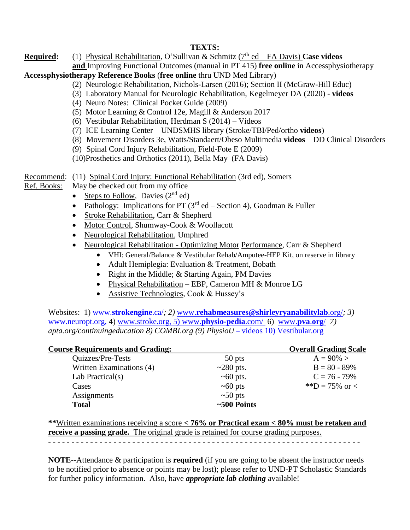## **TEXTS:**

**Required:** (1) Physical Rehabilitation, O'Sullivan & Schmitz (7<sup>th</sup> ed – FA Davis) Case videos **and** Improving Functional Outcomes (manual in PT 415) **free online** in Accessphysiotherapy

## **Accessphysiotherapy Reference Books** (**free online** thru UND Med Library)

- (2) Neurologic Rehabilitation, Nichols-Larsen (2016); Section II (McGraw-Hill Educ)
- (3) Laboratory Manual for Neurologic Rehabilitation, Kegelmeyer DA (2020) **videos**
- (4) Neuro Notes: Clinical Pocket Guide (2009)
- (5) Motor Learning & Control 12e, Magill & Anderson 2017
- (6) Vestibular Rehabilitation, Herdman S (2014) Videos
- (7) ICE Learning Center UNDSMHS library (Stroke/TBI/Ped/ortho **videos**)
- (8) Movement Disorders 3e, Watts/Standaert/Obeso Multimedia **videos** DD Clinical Disorders
- (9) Spinal Cord Injury Rehabilitation, Field-Fote E (2009)
- (10)Prosthetics and Orthotics (2011), Bella May (FA Davis)

Recommend: (11) Spinal Cord Injury: Functional Rehabilitation (3rd ed), Somers

Ref. Books: May be checked out from my office

- Steps to Follow, Davies  $(2<sup>nd</sup>$  ed)
- Pathology: Implications for PT ( $3^{rd}$  ed Section 4), Goodman & Fuller
- Stroke Rehabilitation, Carr & Shepherd
- Motor Control, Shumway-Cook & Woollacott
- Neurological Rehabilitation, Umphred
- Neurological Rehabilitation Optimizing Motor Performance, Carr & Shepherd
	- VHI: General/Balance & Vestibular Rehab/Amputee-HEP Kit, on reserve in library
	- Adult Hemiplegia: Evaluation & Treatment, Bobath
	- Right in the Middle; & Starting Again, PM Davies
	- Physical Rehabilitation EBP, Cameron MH & Monroe LG
	- Assistive Technologies, Cook & Hussey's

Websites: 1) www.**[strokengine](http://www.strokengine.ca/)**.ca/*; 2)* www.**[rehabmeasures@shirleyryanabilitylab](http://www.rehabmeasures@shirleyryanabilitylab.org/)**.org/*; 3)*  [www.neuropt.org,](http://www.neuropt.org/) 4) www.stroke.org, 5) www.**physio-pedia**.com/ 6) [www.](http://www.pva.org/)**pva**.**org**/ *7) apta.org/continuingeducation 8) COMBI.org (9) PhysioU* – videos 10) Vestibular.org

|                 | <b>Overall Grading Scale</b> |
|-----------------|------------------------------|
| 50 pts          | $A = 90\% >$                 |
| $\sim$ 280 pts. | $B = 80 - 89\%$              |
| $\sim 60$ pts.  | $C = 76 - 79\%$              |
| $\sim 60$ pts   | **D = 75% or <               |
| $\sim 50$ pts   |                              |
| $~500$ Points   |                              |
|                 |                              |

**\*\***Written examinations receiving a score **< 76% or Practical exam < 80% must be retaken and receive a passing grade.** The original grade is retained for course grading purposes.

- - - - - - - - - - - - - - - - - - - - - - - - - - - - - - - - - - - - - - - - - - - - - - - - - - - - - - - - - - - - - - - - - - -

**NOTE**--Attendance & participation is **required** (if you are going to be absent the instructor needs to be notified prior to absence or points may be lost); please refer to UND-PT Scholastic Standards for further policy information. Also, have *appropriate lab clothing* available!